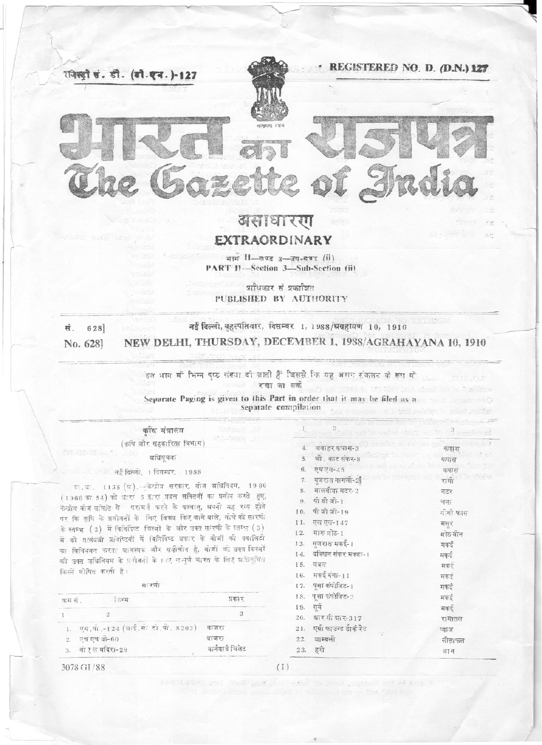

# EXTRAORDINARY

भाग 11-खण्ड 3-उप-दण्ड (ii) PART II-Section 3-Sub-Section (ii)

प्राधिकार से प्रकाशित PUBLISHED BY AUTHORITY

| स. 628  | नई दिल्ली, बृहत्पतिवार, दिसम्बर 1, 1988/श्रग्रहायण 10, 1916 |
|---------|-------------------------------------------------------------|
| No. 628 | NEW DELHI, THURSDAY, DECEMBER 1, 1988/AGRAHAYANA 10, 1910   |

इस भाग में भिन्न पूछ संख्या दी जाती हैं जिससे कि यह असम संकलन के रूप में ा अट हरखा जा सकी sen haer sein

Separate Paging is given to this Part in order that it may be filed as a separate compilation

# कठि संत्रालय

(कृषि और सहकारिता विभाग)

अधिसचना

#### िल जी नई दिल्ली, 1 दिसम्बर, 1988

<sup>151</sup>. था. 1135 (ष). - केन्द्रोव सरकार, वीज ब्रधिनियम, 1966 (1966 का 54) की धारा 5 द्वारा प्रदत्त शक्तियों का प्रयोग करते हुए, केन्द्रीय बीज समिति से परामर्ग करने के पश्चात्, अपनी यह राय होने पर कि कृषि के प्रयोजनों के लिए विकय किए जाने वाले, नीचे की सारणी के स्तम्भ (2) में वितिरिष्ट किस्मों के और उक्त सारणी के स्तम्भ (3) में की तत्संबंधी प्रतिष्टियों में विनिर्दिष्ट प्रकार के बीजों की क्वालिटी का विनियमन करता आवश्यक और सवीचोन है, बोजों को उक्त किस्मों को उक्त यधिनियम के प्रणेजनों के भार समूर्ण भारत के लिए अधिसूचित किस्में घोषित करती है।

सः रणी

| ऋम स | T577                                | प्रकार           |
|------|-------------------------------------|------------------|
|      |                                     |                  |
|      | एम.पी.-124 (श्रार्ड.सी.टो.पी. 8203) | वाजरा            |
|      | 2. एच एच बी-60                      | वाजरा            |
|      | 3. वो रुल मंदिरा-29                 | बार्नयार्ड मिलेट |

#### 15. घबल मकई गंगा-11 16. पुसा कंपोजिट-1 17. 18. पूसा कंपोजिट-2 19. सय

दक्खिन संकर मक्का-1

 $\,2$ 

जवाहर कपास-3

जी. काट संकर-8

6. एचएस-45

9. पी बी जी-1

10. पीं जी जी-19

11. एल एल-147

मारू मोठ-1

13. गुजरात मकई-1

 $7.$  गजरात नागली-2

8. मालवीया मटर-2

 $\overline{4}$ .

 $\mathcal{L}$ 

 $12$ 

14.

 $20 21.$  $22.$ 23.

| ग्रार सी ग्रार-317     | रामातल |
|------------------------|--------|
| एग्री फाउन्ड डार्क रेड | प्याज  |
| ञाम्बली                | सीताफ  |
| हरी                    | धा न   |

कपास

कपास

कपास

रागों

मटर

चता

मसर

मकई

मकई

मकई

मकई

मकई

मकई

मकर्द

मोठ वीन

गीनौ फास

3078 GI / 88

 $(1)$ 

and Justice and painterful  $\alpha\in\mathbb{R}$  and  $\alpha\in\mathbb{R}$  .